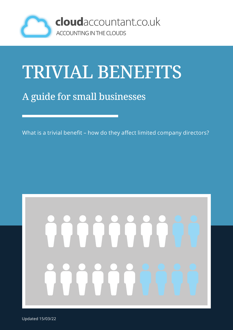

### TRIVIAL BENEFITS

#### A guide for small businesses

What is a trivial benefit – how do they affect limited company directors?

# ee

Updated 15/03/22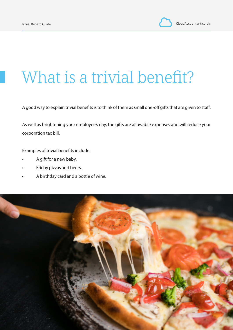#### What is a trivial benefit?

A good way to explain trivial benefits is to think of them as small one-off gifts that are given to staff.

As well as brightening your employee's day, the gifts are allowable expenses and will reduce your corporation tax bill.

Examples of trivial benefits include:

- A gift for a new baby.
- Friday pizzas and beers.
- A birthday card and a bottle of wine.

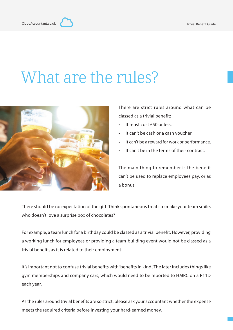#### What are the rules?



There are strict rules around what can be classed as a trivial benefit:

- It must cost £50 or less.
- It can't be cash or a cash voucher.
- It can't be a reward for work or performance.
- It can't be in the terms of their contract.

The main thing to remember is the benefit can't be used to replace employees pay, or as a bonus.

There should be no expectation of the gift. Think spontaneous treats to make your team smile, who doesn't love a surprise box of chocolates?

For example, a team lunch for a birthday could be classed as a trivial benefit. However, providing a working lunch for employees or providing a team-building event would not be classed as a trivial benefit, as it is related to their employment.

It's important not to confuse trivial benefits with 'benefits in kind'. The later includes things like gym memberships and company cars, which would need to be reported to HMRC on a P11D each year.

As the rules around trivial benefits are so strict, please ask your accountant whether the expense meets the required criteria before investing your hard-earned money.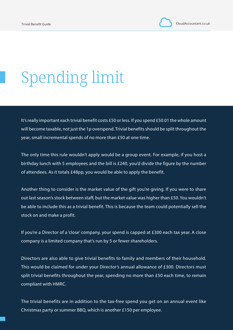## Spending limit

It's really important each trivial benefit costs £50 or less. If you spend £50.01 the whole amount will become taxable, not just the 1p overspend. Trivial benefits should be split throughout the year, small incremental spends of no more than £50 at one time.

The only time this rule wouldn't apply would be a group event. For example, if you host a birthday lunch with 5 employees and the bill is £240, you'd divide the figure by the number of attendees. As it totals £48pp, you would be able to apply the benefit.

Another thing to consider is the market value of the gift you're giving. If you were to share out last season's stock between staff, but the market value was higher than £50. You wouldn't be able to include this as a trivial benefit. This is because the team could potentially sell the stock on and make a profit.

If you're a Director of a 'close' company, your spend is capped at £300 each tax year. A close company is a limited company that's run by 5 or fewer shareholders.

Directors are also able to give trivial benefits to family and members of their household. This would be claimed for under your Director's annual allowance of £300. Directors must split trivial benefits throughout the year, spending no more than £50 each time, to remain compliant with HMRC.

The trivial benefits are in addition to the tax-free spend you get on an annual event like Christmas party or summer BBQ, which is another £150 per employee.